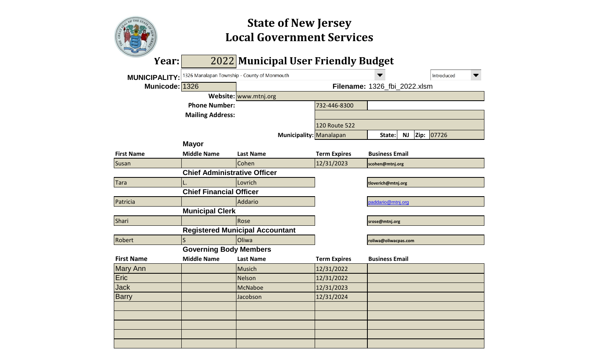

# **Local Government Services State of New Jersey**

| Year:                |                                              | 2022 Municipal User Friendly Budget    |                     |                              |            |
|----------------------|----------------------------------------------|----------------------------------------|---------------------|------------------------------|------------|
| <b>MUNICIPALITY:</b> | 1326 Manalapan Township - County of Monmouth |                                        |                     |                              | Introduced |
| Municode: 1326       |                                              |                                        |                     | Filename: 1326_fbi_2022.xlsm |            |
|                      |                                              | Website: www.mtnj.org                  |                     |                              |            |
|                      | <b>Phone Number:</b>                         |                                        | 732-446-8300        |                              |            |
|                      | <b>Mailing Address:</b>                      |                                        |                     |                              |            |
|                      |                                              |                                        | 120 Route 522       |                              |            |
|                      |                                              | Municipality: Manalapan                |                     | Zip:<br><b>NJ</b><br>State:  | 07726      |
|                      | <b>Mayor</b>                                 |                                        |                     |                              |            |
| <b>First Name</b>    | <b>Middle Name</b>                           | <b>Last Name</b>                       | <b>Term Expires</b> | <b>Business Email</b>        |            |
| Susan                |                                              | Cohen                                  | 12/31/2023          | scohen@mtnj.org              |            |
|                      | <b>Chief Administrative Officer</b>          |                                        |                     |                              |            |
| <b>Tara</b>          |                                              | Lovrich                                |                     | tloverich@mtnj.org           |            |
|                      | <b>Chief Financial Officer</b>               |                                        |                     |                              |            |
| Patricia             |                                              | Addario                                |                     | paddario@mtnj.org            |            |
|                      | <b>Municipal Clerk</b>                       |                                        |                     |                              |            |
| Shari                |                                              | Rose                                   |                     | srose@mtnj.org               |            |
|                      |                                              | <b>Registered Municipal Accountant</b> |                     |                              |            |
| Robert               | S                                            | Oliwa                                  |                     | roliwa@oliwacpas.com         |            |
|                      | <b>Governing Body Members</b>                |                                        |                     |                              |            |
| <b>First Name</b>    | <b>Middle Name</b>                           | <b>Last Name</b>                       | <b>Term Expires</b> | <b>Business Email</b>        |            |
| <b>Mary Ann</b>      |                                              | <b>Musich</b>                          | 12/31/2022          |                              |            |
| Eric                 |                                              | <b>Nelson</b>                          | 12/31/2022          |                              |            |
| <b>Jack</b>          |                                              | <b>McNaboe</b>                         | 12/31/2023          |                              |            |
| <b>Barry</b>         |                                              | Jacobson                               | 12/31/2024          |                              |            |
|                      |                                              |                                        |                     |                              |            |
|                      |                                              |                                        |                     |                              |            |
|                      |                                              |                                        |                     |                              |            |
|                      |                                              |                                        |                     |                              |            |
|                      |                                              |                                        |                     |                              |            |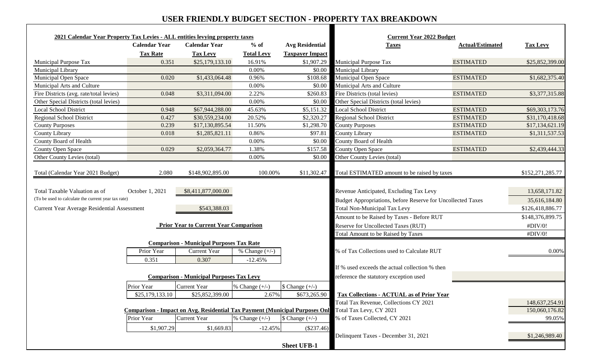## **USER FRIENDLY BUDGET SECTION - PROPERTY TAX BREAKDOWN**

| 2021 Calendar Year Property Tax Levies - ALL entities levying property taxes                                                        |                               |                                                                                                                                       |                               |                                           | <b>Current Year 2022 Budget</b>                                                                                                                                                                                                                                         |                         |                                                                                              |
|-------------------------------------------------------------------------------------------------------------------------------------|-------------------------------|---------------------------------------------------------------------------------------------------------------------------------------|-------------------------------|-------------------------------------------|-------------------------------------------------------------------------------------------------------------------------------------------------------------------------------------------------------------------------------------------------------------------------|-------------------------|----------------------------------------------------------------------------------------------|
|                                                                                                                                     | <b>Calendar Year</b>          | <b>Calendar Year</b>                                                                                                                  | $%$ of                        | <b>Avg Residential</b>                    | <b>Taxes</b>                                                                                                                                                                                                                                                            | <b>Actual/Estimated</b> | <b>Tax Levy</b>                                                                              |
|                                                                                                                                     | <b>Tax Rate</b>               | <b>Tax Levy</b>                                                                                                                       | <b>Total Levy</b>             | <b>Taxpayer Impact</b>                    |                                                                                                                                                                                                                                                                         |                         |                                                                                              |
| Municipal Purpose Tax                                                                                                               | 0.351                         | \$25,179,133.10                                                                                                                       | 16.91%                        | \$1,907.29                                | Municipal Purpose Tax                                                                                                                                                                                                                                                   | <b>ESTIMATED</b>        | \$25,852,399.00                                                                              |
| Municipal Library                                                                                                                   |                               |                                                                                                                                       | 0.00%                         | \$0.00                                    | Municipal Library                                                                                                                                                                                                                                                       |                         |                                                                                              |
| Municipal Open Space                                                                                                                | 0.020                         | \$1,433,064.48                                                                                                                        | 0.96%                         | \$108.68                                  | Municipal Open Space                                                                                                                                                                                                                                                    | <b>ESTIMATED</b>        | \$1,682,375.40                                                                               |
| Municipal Arts and Culture                                                                                                          |                               |                                                                                                                                       | 0.00%                         | \$0.00                                    | Municipal Arts and Culture                                                                                                                                                                                                                                              |                         |                                                                                              |
| Fire Districts (avg. rate/total levies)                                                                                             | 0.048                         | \$3,311,094.00                                                                                                                        | 2.22%                         | \$260.83                                  | Fire Districts (total levies)                                                                                                                                                                                                                                           | <b>ESTIMATED</b>        | \$3,377,315.88                                                                               |
| Other Special Districts (total levies)                                                                                              |                               |                                                                                                                                       | 0.00%                         | \$0.00                                    | Other Special Districts (total levies)                                                                                                                                                                                                                                  |                         |                                                                                              |
| <b>Local School District</b>                                                                                                        | 0.948                         | \$67,944,288.00                                                                                                                       | 45.63%                        | \$5,151.32                                | <b>Local School District</b>                                                                                                                                                                                                                                            | <b>ESTIMATED</b>        | \$69,303,173.76                                                                              |
| <b>Regional School District</b>                                                                                                     | 0.427                         | \$30,559,234.00                                                                                                                       | 20.52%                        | \$2,320.27                                | <b>Regional School District</b>                                                                                                                                                                                                                                         | <b>ESTIMATED</b>        | \$31,170,418.68                                                                              |
| <b>County Purposes</b>                                                                                                              | 0.239                         | \$17,130,895.54                                                                                                                       | 11.50%                        | \$1,298.7                                 | <b>County Purposes</b>                                                                                                                                                                                                                                                  | <b>ESTIMATED</b>        | \$17,134,621.19                                                                              |
| County Library                                                                                                                      | 0.018                         | \$1,285,821.11                                                                                                                        | 0.86%                         | \$97.8                                    | County Library                                                                                                                                                                                                                                                          | <b>ESTIMATED</b>        | \$1,311,537.53                                                                               |
| County Board of Health                                                                                                              |                               |                                                                                                                                       | 0.00%                         | \$0.00                                    | County Board of Health                                                                                                                                                                                                                                                  |                         |                                                                                              |
| County Open Space                                                                                                                   | 0.029                         | \$2,059,364.77                                                                                                                        | 1.38%                         | \$157.58                                  | County Open Space                                                                                                                                                                                                                                                       | <b>ESTIMATED</b>        | \$2,439,444.33                                                                               |
| Other County Levies (total)                                                                                                         |                               |                                                                                                                                       | 0.00%                         | \$0.00                                    | Other County Levies (total)                                                                                                                                                                                                                                             |                         |                                                                                              |
| Total Taxable Valuation as of<br>(To be used to calculate the current year tax rate)<br>Current Year Average Residential Assessment | October 1, 2021               | \$8,411,877,000.00<br>\$543,388.03<br><b>Prior Year to Current Year Comparison</b><br><b>Comparison - Municipal Purposes Tax Rate</b> |                               |                                           | Revenue Anticipated, Excluding Tax Levy<br>Budget Appropriations, before Reserve for Uncollected Taxes<br><b>Total Non-Municipal Tax Levy</b><br>Amount to be Raised by Taxes - Before RUT<br>Reserve for Uncollected Taxes (RUT)<br>Total Amount to be Raised by Taxes |                         | 13,658,171.82<br>35,616,184.80<br>\$126,418,886.77<br>\$148,376,899.75<br>#DIV/0!<br>#DIV/0! |
|                                                                                                                                     | Prior Year<br>0.351           | <b>Current Year</b><br>0.307                                                                                                          | % Change $(+/-)$<br>$-12.45%$ |                                           | % of Tax Collections used to Calculate RUT<br>If % used exceeds the actual collection % then                                                                                                                                                                            |                         | $0.00\%$                                                                                     |
|                                                                                                                                     |                               | <b>Comparison - Municipal Purposes Tax Levy</b>                                                                                       |                               |                                           | reference the statutory exception used                                                                                                                                                                                                                                  |                         |                                                                                              |
|                                                                                                                                     | Prior Year<br>\$25,179,133.10 | <b>Current Year</b><br>\$25,852,399.00                                                                                                | % Change $(+/-)$<br>2.67%     | $\text{\$ Change } (+/-)$<br>\$673,265.90 | <b>Tax Collections - ACTUAL as of Prior Year</b><br>Total Tax Revenue, Collections CY 2021                                                                                                                                                                              |                         |                                                                                              |
|                                                                                                                                     |                               |                                                                                                                                       |                               |                                           | <b>Comparison - Impact on Avg. Residential Tax Payment (Municipal Purposes Onl</b> Total Tax Levy, CY 2021                                                                                                                                                              |                         | 148,637,254.91<br>150,060,176.82                                                             |
|                                                                                                                                     |                               | <b>Current Year</b>                                                                                                                   |                               |                                           | % of Taxes Collected, CY 2021                                                                                                                                                                                                                                           |                         | 99.05%                                                                                       |
|                                                                                                                                     | Prior Year                    |                                                                                                                                       | % Change $(+/-)$              | $\text{\$ Change } (+/-)$                 |                                                                                                                                                                                                                                                                         |                         |                                                                                              |
|                                                                                                                                     | \$1,907.29                    | \$1,669.83                                                                                                                            | $-12.45%$                     | $(\$237.46)$<br><b>Sheet UFB-1</b>        | Delinquent Taxes - December 31, 2021                                                                                                                                                                                                                                    |                         | \$1,246,989.40                                                                               |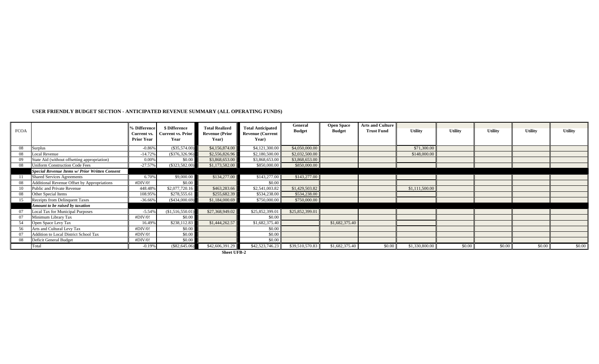## **USER FRIENDLY BUDGET SECTION - ANTICIPATED REVENUE SUMMARY (ALL OPERATING FUNDS)**

| <b>FCOA</b> |                                                       | 6 Difference<br><b>Current vs.</b><br><b>Prior Year</b> | \$ Difference<br><b>Current vs. Prior</b><br>Year | <b>Total Realized</b><br><b>Revenue (Prior</b><br>Year) | <b>Total Anticipated</b><br><b>Revenue (Current</b><br>Year) | General<br><b>Budget</b> | <b>Open Space</b><br><b>Budget</b> | <b>Arts and Culture</b><br><b>Trust Fund</b> | <b>Utility</b> | <b>Utility</b> | <b>Utility</b> | <b>Utility</b> | <b>Utility</b> |
|-------------|-------------------------------------------------------|---------------------------------------------------------|---------------------------------------------------|---------------------------------------------------------|--------------------------------------------------------------|--------------------------|------------------------------------|----------------------------------------------|----------------|----------------|----------------|----------------|----------------|
| 08          | <b>Surplus</b>                                        | $-0.86%$                                                | (\$35,574.00)                                     | \$4,156,874.00                                          | \$4,121,300.00                                               | \$4,050,000.00           |                                    |                                              | \$71,300.00    |                |                |                |                |
| 08          | <b>Local Revenue</b>                                  | $-14.72%$                                               | $(\$376,326.96)$                                  | \$2,556,826.96                                          | \$2,180,500.00                                               | \$2,032,500.00           |                                    |                                              | \$148,000.00   |                |                |                |                |
| 09          | State Aid (without offsetting appropriation)          | 0.00%                                                   | \$0.00                                            | \$3,868,653.00                                          | \$3,868,653.00                                               | \$3,868,653.00           |                                    |                                              |                |                |                |                |                |
| 08          | <b>Uniform Construction Code Fees</b>                 | $-27.57%$                                               | $(\$323,582.00)$                                  | \$1,173,582.00                                          | \$850,000.00                                                 | \$850,000.00             |                                    |                                              |                |                |                |                |                |
|             | <b>Special Revenue Items w/ Prior Written Consent</b> |                                                         |                                                   |                                                         |                                                              |                          |                                    |                                              |                |                |                |                |                |
|             | <b>Shared Services Agreements</b>                     | 6.70%                                                   | \$9,000.00                                        | \$134,277.00                                            | \$143,277.00                                                 | \$143,277.00             |                                    |                                              |                |                |                |                |                |
| 08          | <b>Additional Revenue Offset by Appropriations</b>    | #DIV/0!                                                 | \$0.00                                            |                                                         | \$0.00                                                       |                          |                                    |                                              |                |                |                |                |                |
| 10          | Public and Private Revenue                            | 448.48%                                                 | \$2,077,720.16                                    | \$463,283.66                                            | \$2,541,003.82                                               | \$1,429,503.82           |                                    |                                              | \$1,111,500.00 |                |                |                |                |
| 08          | Other Special Items                                   | 108.95%                                                 | \$278,555.61                                      | \$255,682.39                                            | \$534,238.00                                                 | \$534,238.00             |                                    |                                              |                |                |                |                |                |
| 15          | <b>Receipts from Delinquent Taxes</b>                 | $-36.66%$                                               | $(\$434,000.69)$                                  | \$1,184,000.69                                          | \$750,000.00                                                 | \$750,000.00             |                                    |                                              |                |                |                |                |                |
|             | Amount to be raised by taxation                       |                                                         |                                                   |                                                         |                                                              |                          |                                    |                                              |                |                |                |                |                |
|             | Local Tax for Municipal Purposes                      | $-5.54%$                                                | (\$1,516,550.01)                                  | \$27,368,949.02                                         | \$25,852,399.01                                              | \$25,852,399.01          |                                    |                                              |                |                |                |                |                |
| 07          | Minimum Library Tax                                   | #DIV/0!                                                 | \$0.00                                            |                                                         | \$0.00                                                       |                          |                                    |                                              |                |                |                |                |                |
| 54          | Open Space Levy Tax                                   | 16.499                                                  | \$238,112.83                                      | \$1,444,262.57                                          | \$1,682,375.40                                               |                          | \$1,682,375.40                     |                                              |                |                |                |                |                |
| 56          | Arts and Cultural Levy Tax                            | #DIV/0!                                                 | \$0.00                                            |                                                         | \$0.00                                                       |                          |                                    |                                              |                |                |                |                |                |
| 07          | Addition to Local District School Tax                 | #DIV/0!                                                 | \$0.00                                            |                                                         | \$0.00                                                       |                          |                                    |                                              |                |                |                |                |                |
| 08          | Deficit General Budget                                | #DIV/0!                                                 | \$0.00                                            |                                                         | \$0.00                                                       |                          |                                    |                                              |                |                |                |                |                |
|             | Total                                                 | $-0.19%$                                                | $(\$82,645.06)$                                   | \$42,606,391.29                                         | \$42,523,746.23                                              | \$39,510,570.83          | \$1,682,375.40                     | \$0.00                                       | \$1,330,800.00 | \$0.00         | \$0.00         | \$0.00         | \$0.00         |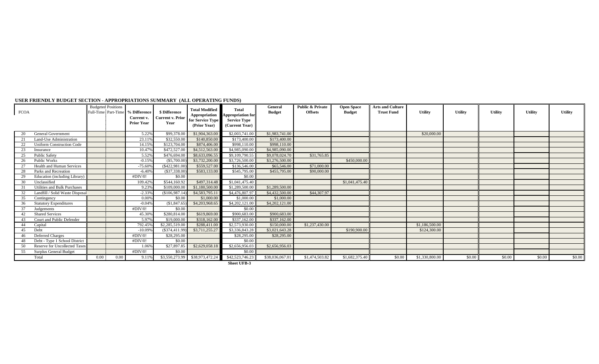| \$99,378.00<br>\$1,904,363.00<br>\$2,003,741.00<br>5.22%<br>\$1,983,741.00<br>\$20,000.00<br><b>General Government</b><br>20<br>23.11%<br>\$32,550.00<br>\$140,850.00<br>\$173,400.00<br>\$173,400.00<br><b>Land-Use Administration</b><br>\$123,704.00<br>\$874,406.00<br>\$998,110.00<br>\$998,110.00<br>14.15%<br><b>Uniform Construction Code</b><br>\$4,985,090.00<br>\$4,985,090.00<br>10.47%<br>\$472,527.00<br>\$4,512,563.00<br>23<br>Insurance<br>\$8,633,096.55<br>\$9,109,790.55<br>\$9,078,024.70<br><b>Public Safety</b><br>5.52%<br>\$476,694.00<br>\$31,765.85<br>25<br>Public Works<br>$-0.15%$<br>(S5,700.00)<br>\$3,732,200.00<br>\$3,276,500.00<br>\$450,000.00<br>\$3,726,500.00<br>26<br>\$71,000.00<br>$-75.609$<br>\$559,527.00<br>$(\$422,981.00)$<br>\$136,546.00<br>\$65,546.00<br><b>Health and Human Services</b><br>$(\$37,338.00)$<br>\$583,133.00<br>\$545,795.00<br>\$455,795.00<br>\$90,000.00<br>$-6.40%$<br>Parks and Recreation<br>28<br>#DIV/0!<br>\$0.00<br>\$0.00<br><b>Education</b> (including Library)<br>\$544,160.92<br>\$497,314.48<br>\$1,041,475.40<br>109.42%<br>\$1,041,475.40<br>Unclassified<br>30<br>\$1,289,500.00<br>\$1,289,500.00<br><b>Utilities and Bulk Purchases</b><br>\$1,180,500.00<br>9.23%<br>\$109,000.00<br>$-2.33%$<br>(S106, 987.14)<br>\$4,583,795.11<br>\$4,476,807.97<br>\$4,432,500.00<br>\$44,307.97<br>Landfill / Solid Waste Disposal<br>32<br>\$0.00<br>\$1,000.00<br>\$1,000.00<br>\$1,000.00<br>0.00%<br>35<br>Contingency<br>\$4,203,968.65<br>\$4,202,121.00<br>\$4,202,121.00<br>$(\$1,847.65)$<br>$-0.04%$<br><b>Statutory Expenditures</b><br>36<br>\$0.00<br>\$0.00<br>#DIV/0!<br>Judgements<br>\$900,683.00<br>\$900,683.00<br>\$280,814.00<br>\$619,869.00<br><b>Shared Services</b><br>45.30%<br>5.97%<br>\$337,162.00<br>\$337,162.00<br>Court and Public Defender<br>\$19,000.00<br>\$318,162.00<br>43<br>\$288,411.00<br>\$2,573,930.00<br>\$1,237,430.00<br>\$1,186,500.00<br>\$2,285,519.00<br>\$150,000.00<br>792.45%<br>44<br>Capital<br>\$3,711,255.27<br>\$3,336,843.28<br>\$3,021,643.28<br>\$190,900.00<br>Debt<br>$-10.099$<br>(S374, 411.99)<br>\$124,300.00<br>45<br><b>Deferred Charges</b><br>#DIV/0!<br>\$28,295.00<br>\$28,295.00<br>\$28,295.00<br>46<br>\$0.00<br>Debt - Type 1 School District<br>\$0.00<br>#DIV/0!<br>48<br>\$27,897.85<br>\$2,629,058.18<br>\$2,656,956.03<br>\$2,656,956.03<br><b>Reserve for Uncollected Taxes</b><br>1.069<br>\$0.00<br><b>Surplus General Budget</b><br>#DIV/0!<br>\$0.00<br>55<br>$$3,550,273.99$ \$38,973,472.24<br>\$42,523,746.23<br>\$0.00<br>$0.00\,$<br>0.00<br>\$38,036,067.01<br>\$1,474,503.82<br>\$1,682,375.40<br>\$1,330,800.00<br>\$0.00<br>\$0.00<br>Total<br>9.11%<br>\$0.00 | <b>FCOA</b> | <b>Budgeted Positions</b><br>Full-Time Part-Time | % Difference<br>Current v.<br><b>Prior Year</b> | \$ Difference<br><b>Current v. Prior</b><br>Year | <b>Total Modified</b><br><b>Appropriation</b><br><b>for Service Type</b><br>(Prior Year) | <b>Total</b><br>Appropriation for<br><b>Service Type</b><br>(Current Year) | <b>General</b><br><b>Budget</b> | <b>Public &amp; Private</b><br><b>Offsets</b> | <b>Open Space</b><br><b>Budget</b> | <b>Arts and Culture</b><br><b>Trust Fund</b> | <b>Utility</b> | <b>Utility</b> | <b>Utility</b> | <b>Utility</b> | <b>Utility</b> |
|--------------------------------------------------------------------------------------------------------------------------------------------------------------------------------------------------------------------------------------------------------------------------------------------------------------------------------------------------------------------------------------------------------------------------------------------------------------------------------------------------------------------------------------------------------------------------------------------------------------------------------------------------------------------------------------------------------------------------------------------------------------------------------------------------------------------------------------------------------------------------------------------------------------------------------------------------------------------------------------------------------------------------------------------------------------------------------------------------------------------------------------------------------------------------------------------------------------------------------------------------------------------------------------------------------------------------------------------------------------------------------------------------------------------------------------------------------------------------------------------------------------------------------------------------------------------------------------------------------------------------------------------------------------------------------------------------------------------------------------------------------------------------------------------------------------------------------------------------------------------------------------------------------------------------------------------------------------------------------------------------------------------------------------------------------------------------------------------------------------------------------------------------------------------------------------------------------------------------------------------------------------------------------------------------------------------------------------------------------------------------------------------------------------------------------------------------------------------------------------------------------------------------------------------------------------------------------------------------------------------------------------------------------------------------------------------------------------------------------------------------|-------------|--------------------------------------------------|-------------------------------------------------|--------------------------------------------------|------------------------------------------------------------------------------------------|----------------------------------------------------------------------------|---------------------------------|-----------------------------------------------|------------------------------------|----------------------------------------------|----------------|----------------|----------------|----------------|----------------|
|                                                                                                                                                                                                                                                                                                                                                                                                                                                                                                                                                                                                                                                                                                                                                                                                                                                                                                                                                                                                                                                                                                                                                                                                                                                                                                                                                                                                                                                                                                                                                                                                                                                                                                                                                                                                                                                                                                                                                                                                                                                                                                                                                                                                                                                                                                                                                                                                                                                                                                                                                                                                                                                                                                                                                  |             |                                                  |                                                 |                                                  |                                                                                          |                                                                            |                                 |                                               |                                    |                                              |                |                |                |                |                |
|                                                                                                                                                                                                                                                                                                                                                                                                                                                                                                                                                                                                                                                                                                                                                                                                                                                                                                                                                                                                                                                                                                                                                                                                                                                                                                                                                                                                                                                                                                                                                                                                                                                                                                                                                                                                                                                                                                                                                                                                                                                                                                                                                                                                                                                                                                                                                                                                                                                                                                                                                                                                                                                                                                                                                  |             |                                                  |                                                 |                                                  |                                                                                          |                                                                            |                                 |                                               |                                    |                                              |                |                |                |                |                |
|                                                                                                                                                                                                                                                                                                                                                                                                                                                                                                                                                                                                                                                                                                                                                                                                                                                                                                                                                                                                                                                                                                                                                                                                                                                                                                                                                                                                                                                                                                                                                                                                                                                                                                                                                                                                                                                                                                                                                                                                                                                                                                                                                                                                                                                                                                                                                                                                                                                                                                                                                                                                                                                                                                                                                  |             |                                                  |                                                 |                                                  |                                                                                          |                                                                            |                                 |                                               |                                    |                                              |                |                |                |                |                |
|                                                                                                                                                                                                                                                                                                                                                                                                                                                                                                                                                                                                                                                                                                                                                                                                                                                                                                                                                                                                                                                                                                                                                                                                                                                                                                                                                                                                                                                                                                                                                                                                                                                                                                                                                                                                                                                                                                                                                                                                                                                                                                                                                                                                                                                                                                                                                                                                                                                                                                                                                                                                                                                                                                                                                  |             |                                                  |                                                 |                                                  |                                                                                          |                                                                            |                                 |                                               |                                    |                                              |                |                |                |                |                |
|                                                                                                                                                                                                                                                                                                                                                                                                                                                                                                                                                                                                                                                                                                                                                                                                                                                                                                                                                                                                                                                                                                                                                                                                                                                                                                                                                                                                                                                                                                                                                                                                                                                                                                                                                                                                                                                                                                                                                                                                                                                                                                                                                                                                                                                                                                                                                                                                                                                                                                                                                                                                                                                                                                                                                  |             |                                                  |                                                 |                                                  |                                                                                          |                                                                            |                                 |                                               |                                    |                                              |                |                |                |                |                |
|                                                                                                                                                                                                                                                                                                                                                                                                                                                                                                                                                                                                                                                                                                                                                                                                                                                                                                                                                                                                                                                                                                                                                                                                                                                                                                                                                                                                                                                                                                                                                                                                                                                                                                                                                                                                                                                                                                                                                                                                                                                                                                                                                                                                                                                                                                                                                                                                                                                                                                                                                                                                                                                                                                                                                  |             |                                                  |                                                 |                                                  |                                                                                          |                                                                            |                                 |                                               |                                    |                                              |                |                |                |                |                |
|                                                                                                                                                                                                                                                                                                                                                                                                                                                                                                                                                                                                                                                                                                                                                                                                                                                                                                                                                                                                                                                                                                                                                                                                                                                                                                                                                                                                                                                                                                                                                                                                                                                                                                                                                                                                                                                                                                                                                                                                                                                                                                                                                                                                                                                                                                                                                                                                                                                                                                                                                                                                                                                                                                                                                  |             |                                                  |                                                 |                                                  |                                                                                          |                                                                            |                                 |                                               |                                    |                                              |                |                |                |                |                |
|                                                                                                                                                                                                                                                                                                                                                                                                                                                                                                                                                                                                                                                                                                                                                                                                                                                                                                                                                                                                                                                                                                                                                                                                                                                                                                                                                                                                                                                                                                                                                                                                                                                                                                                                                                                                                                                                                                                                                                                                                                                                                                                                                                                                                                                                                                                                                                                                                                                                                                                                                                                                                                                                                                                                                  |             |                                                  |                                                 |                                                  |                                                                                          |                                                                            |                                 |                                               |                                    |                                              |                |                |                |                |                |
|                                                                                                                                                                                                                                                                                                                                                                                                                                                                                                                                                                                                                                                                                                                                                                                                                                                                                                                                                                                                                                                                                                                                                                                                                                                                                                                                                                                                                                                                                                                                                                                                                                                                                                                                                                                                                                                                                                                                                                                                                                                                                                                                                                                                                                                                                                                                                                                                                                                                                                                                                                                                                                                                                                                                                  |             |                                                  |                                                 |                                                  |                                                                                          |                                                                            |                                 |                                               |                                    |                                              |                |                |                |                |                |
|                                                                                                                                                                                                                                                                                                                                                                                                                                                                                                                                                                                                                                                                                                                                                                                                                                                                                                                                                                                                                                                                                                                                                                                                                                                                                                                                                                                                                                                                                                                                                                                                                                                                                                                                                                                                                                                                                                                                                                                                                                                                                                                                                                                                                                                                                                                                                                                                                                                                                                                                                                                                                                                                                                                                                  |             |                                                  |                                                 |                                                  |                                                                                          |                                                                            |                                 |                                               |                                    |                                              |                |                |                |                |                |
|                                                                                                                                                                                                                                                                                                                                                                                                                                                                                                                                                                                                                                                                                                                                                                                                                                                                                                                                                                                                                                                                                                                                                                                                                                                                                                                                                                                                                                                                                                                                                                                                                                                                                                                                                                                                                                                                                                                                                                                                                                                                                                                                                                                                                                                                                                                                                                                                                                                                                                                                                                                                                                                                                                                                                  |             |                                                  |                                                 |                                                  |                                                                                          |                                                                            |                                 |                                               |                                    |                                              |                |                |                |                |                |
|                                                                                                                                                                                                                                                                                                                                                                                                                                                                                                                                                                                                                                                                                                                                                                                                                                                                                                                                                                                                                                                                                                                                                                                                                                                                                                                                                                                                                                                                                                                                                                                                                                                                                                                                                                                                                                                                                                                                                                                                                                                                                                                                                                                                                                                                                                                                                                                                                                                                                                                                                                                                                                                                                                                                                  |             |                                                  |                                                 |                                                  |                                                                                          |                                                                            |                                 |                                               |                                    |                                              |                |                |                |                |                |
|                                                                                                                                                                                                                                                                                                                                                                                                                                                                                                                                                                                                                                                                                                                                                                                                                                                                                                                                                                                                                                                                                                                                                                                                                                                                                                                                                                                                                                                                                                                                                                                                                                                                                                                                                                                                                                                                                                                                                                                                                                                                                                                                                                                                                                                                                                                                                                                                                                                                                                                                                                                                                                                                                                                                                  |             |                                                  |                                                 |                                                  |                                                                                          |                                                                            |                                 |                                               |                                    |                                              |                |                |                |                |                |
|                                                                                                                                                                                                                                                                                                                                                                                                                                                                                                                                                                                                                                                                                                                                                                                                                                                                                                                                                                                                                                                                                                                                                                                                                                                                                                                                                                                                                                                                                                                                                                                                                                                                                                                                                                                                                                                                                                                                                                                                                                                                                                                                                                                                                                                                                                                                                                                                                                                                                                                                                                                                                                                                                                                                                  |             |                                                  |                                                 |                                                  |                                                                                          |                                                                            |                                 |                                               |                                    |                                              |                |                |                |                |                |
|                                                                                                                                                                                                                                                                                                                                                                                                                                                                                                                                                                                                                                                                                                                                                                                                                                                                                                                                                                                                                                                                                                                                                                                                                                                                                                                                                                                                                                                                                                                                                                                                                                                                                                                                                                                                                                                                                                                                                                                                                                                                                                                                                                                                                                                                                                                                                                                                                                                                                                                                                                                                                                                                                                                                                  |             |                                                  |                                                 |                                                  |                                                                                          |                                                                            |                                 |                                               |                                    |                                              |                |                |                |                |                |
|                                                                                                                                                                                                                                                                                                                                                                                                                                                                                                                                                                                                                                                                                                                                                                                                                                                                                                                                                                                                                                                                                                                                                                                                                                                                                                                                                                                                                                                                                                                                                                                                                                                                                                                                                                                                                                                                                                                                                                                                                                                                                                                                                                                                                                                                                                                                                                                                                                                                                                                                                                                                                                                                                                                                                  |             |                                                  |                                                 |                                                  |                                                                                          |                                                                            |                                 |                                               |                                    |                                              |                |                |                |                |                |
|                                                                                                                                                                                                                                                                                                                                                                                                                                                                                                                                                                                                                                                                                                                                                                                                                                                                                                                                                                                                                                                                                                                                                                                                                                                                                                                                                                                                                                                                                                                                                                                                                                                                                                                                                                                                                                                                                                                                                                                                                                                                                                                                                                                                                                                                                                                                                                                                                                                                                                                                                                                                                                                                                                                                                  |             |                                                  |                                                 |                                                  |                                                                                          |                                                                            |                                 |                                               |                                    |                                              |                |                |                |                |                |
|                                                                                                                                                                                                                                                                                                                                                                                                                                                                                                                                                                                                                                                                                                                                                                                                                                                                                                                                                                                                                                                                                                                                                                                                                                                                                                                                                                                                                                                                                                                                                                                                                                                                                                                                                                                                                                                                                                                                                                                                                                                                                                                                                                                                                                                                                                                                                                                                                                                                                                                                                                                                                                                                                                                                                  |             |                                                  |                                                 |                                                  |                                                                                          |                                                                            |                                 |                                               |                                    |                                              |                |                |                |                |                |
|                                                                                                                                                                                                                                                                                                                                                                                                                                                                                                                                                                                                                                                                                                                                                                                                                                                                                                                                                                                                                                                                                                                                                                                                                                                                                                                                                                                                                                                                                                                                                                                                                                                                                                                                                                                                                                                                                                                                                                                                                                                                                                                                                                                                                                                                                                                                                                                                                                                                                                                                                                                                                                                                                                                                                  |             |                                                  |                                                 |                                                  |                                                                                          |                                                                            |                                 |                                               |                                    |                                              |                |                |                |                |                |
|                                                                                                                                                                                                                                                                                                                                                                                                                                                                                                                                                                                                                                                                                                                                                                                                                                                                                                                                                                                                                                                                                                                                                                                                                                                                                                                                                                                                                                                                                                                                                                                                                                                                                                                                                                                                                                                                                                                                                                                                                                                                                                                                                                                                                                                                                                                                                                                                                                                                                                                                                                                                                                                                                                                                                  |             |                                                  |                                                 |                                                  |                                                                                          |                                                                            |                                 |                                               |                                    |                                              |                |                |                |                |                |
|                                                                                                                                                                                                                                                                                                                                                                                                                                                                                                                                                                                                                                                                                                                                                                                                                                                                                                                                                                                                                                                                                                                                                                                                                                                                                                                                                                                                                                                                                                                                                                                                                                                                                                                                                                                                                                                                                                                                                                                                                                                                                                                                                                                                                                                                                                                                                                                                                                                                                                                                                                                                                                                                                                                                                  |             |                                                  |                                                 |                                                  |                                                                                          |                                                                            |                                 |                                               |                                    |                                              |                |                |                |                |                |
|                                                                                                                                                                                                                                                                                                                                                                                                                                                                                                                                                                                                                                                                                                                                                                                                                                                                                                                                                                                                                                                                                                                                                                                                                                                                                                                                                                                                                                                                                                                                                                                                                                                                                                                                                                                                                                                                                                                                                                                                                                                                                                                                                                                                                                                                                                                                                                                                                                                                                                                                                                                                                                                                                                                                                  |             |                                                  |                                                 |                                                  |                                                                                          |                                                                            |                                 |                                               |                                    |                                              |                |                |                |                |                |
|                                                                                                                                                                                                                                                                                                                                                                                                                                                                                                                                                                                                                                                                                                                                                                                                                                                                                                                                                                                                                                                                                                                                                                                                                                                                                                                                                                                                                                                                                                                                                                                                                                                                                                                                                                                                                                                                                                                                                                                                                                                                                                                                                                                                                                                                                                                                                                                                                                                                                                                                                                                                                                                                                                                                                  |             |                                                  |                                                 |                                                  |                                                                                          |                                                                            |                                 |                                               |                                    |                                              |                |                |                |                |                |
|                                                                                                                                                                                                                                                                                                                                                                                                                                                                                                                                                                                                                                                                                                                                                                                                                                                                                                                                                                                                                                                                                                                                                                                                                                                                                                                                                                                                                                                                                                                                                                                                                                                                                                                                                                                                                                                                                                                                                                                                                                                                                                                                                                                                                                                                                                                                                                                                                                                                                                                                                                                                                                                                                                                                                  |             |                                                  |                                                 |                                                  |                                                                                          |                                                                            |                                 |                                               |                                    |                                              |                |                |                |                | \$0.00         |

 **Sheet UFB-3**

## **USER FRIENDLY BUDGET SECTION - APPROPRIATIONS SUMMARY (ALL OPERATING FUNDS)**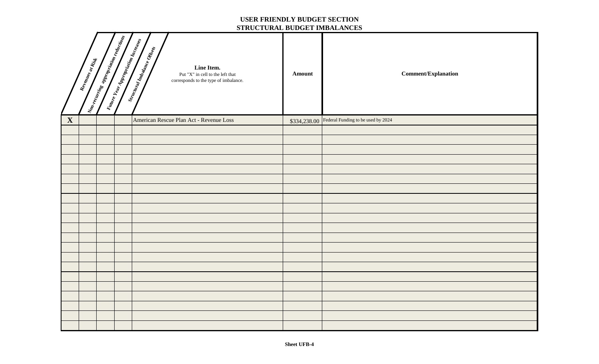#### **USER FRIENDLY BUDGET SECTION STRUCTURAL BUDGET IMBALANCES**

|              | Revenues at Rist | Non-reconcing appropriation reductions | Winter Vear Appropriation Increases | Stractoral Impalance Offices<br>Line Item.<br>Put "X" in cell to the left that<br>corresponds to the type of imbalance. | <b>Amount</b> | <b>Comment/Explanation</b>                      |
|--------------|------------------|----------------------------------------|-------------------------------------|-------------------------------------------------------------------------------------------------------------------------|---------------|-------------------------------------------------|
| $\mathbf{X}$ |                  |                                        |                                     | American Rescue Plan Act - Revenue Loss                                                                                 |               | \$334,238.00 Federal Funding to be used by 2024 |
|              |                  |                                        |                                     |                                                                                                                         |               |                                                 |
|              |                  |                                        |                                     |                                                                                                                         |               |                                                 |
|              |                  |                                        |                                     |                                                                                                                         |               |                                                 |
|              |                  |                                        |                                     |                                                                                                                         |               |                                                 |
|              |                  |                                        |                                     |                                                                                                                         |               |                                                 |
|              |                  |                                        |                                     |                                                                                                                         |               |                                                 |
|              |                  |                                        |                                     |                                                                                                                         |               |                                                 |
|              |                  |                                        |                                     |                                                                                                                         |               |                                                 |
|              |                  |                                        |                                     |                                                                                                                         |               |                                                 |
|              |                  |                                        |                                     |                                                                                                                         |               |                                                 |
|              |                  |                                        |                                     |                                                                                                                         |               |                                                 |
|              |                  |                                        |                                     |                                                                                                                         |               |                                                 |
|              |                  |                                        |                                     |                                                                                                                         |               |                                                 |
|              |                  |                                        |                                     |                                                                                                                         |               |                                                 |
|              |                  |                                        |                                     |                                                                                                                         |               |                                                 |
|              |                  |                                        |                                     |                                                                                                                         |               |                                                 |
|              |                  |                                        |                                     |                                                                                                                         |               |                                                 |
|              |                  |                                        |                                     |                                                                                                                         |               |                                                 |
|              |                  |                                        |                                     |                                                                                                                         |               |                                                 |
|              |                  |                                        |                                     |                                                                                                                         |               |                                                 |
|              |                  |                                        |                                     |                                                                                                                         |               |                                                 |

| lanation |  |  |
|----------|--|--|
|          |  |  |
|          |  |  |
|          |  |  |
|          |  |  |
|          |  |  |
|          |  |  |
|          |  |  |
|          |  |  |
|          |  |  |
|          |  |  |
|          |  |  |
|          |  |  |
|          |  |  |
|          |  |  |
|          |  |  |
|          |  |  |
|          |  |  |
|          |  |  |
|          |  |  |
|          |  |  |
|          |  |  |
|          |  |  |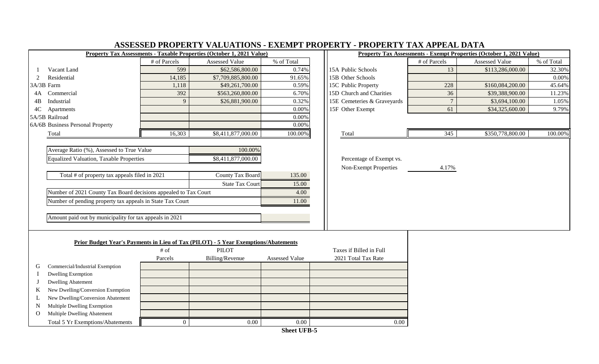|                                                                 |                | <b>Property Tax Assessments - Taxable Properties (October 1, 2021 Value)</b>       |                                    |                              |                | <b>Property Tax Assessments - Exempt Properties (October 1, 2021 Value)</b> |            |
|-----------------------------------------------------------------|----------------|------------------------------------------------------------------------------------|------------------------------------|------------------------------|----------------|-----------------------------------------------------------------------------|------------|
|                                                                 | # of Parcels   | <b>Assessed Value</b>                                                              | % of Total                         |                              | # of Parcels   | <b>Assessed Value</b>                                                       | % of Total |
| Vacant Land                                                     | 599            | \$62,586,800.00                                                                    | 0.74%                              | 15A Public Schools           | 13             | \$113,286,000.00                                                            | 32.30%     |
| Residential<br>2                                                | 14,185         | \$7,709,885,800.00                                                                 | 91.65%                             | 15B Other Schools            |                |                                                                             | 0.00%      |
| 3A/3B Farm                                                      | 1,118          | \$49,261,700.00                                                                    | 0.59%                              | 15C Public Property          | 228            | \$160,084,200.00                                                            | 45.64%     |
| 4A Commercial                                                   | 392            | \$563,260,800.00                                                                   | 6.70%                              | 15D Church and Charities     | 36             | \$39,388,900.00                                                             | 11.23%     |
| Industrial<br>4B                                                | 9              | \$26,881,900.00                                                                    | 0.32%                              | 15E Cemeteries & Graveyards  | $\overline{7}$ | \$3,694,100.00                                                              | 1.05%      |
| 4C Apartments                                                   |                |                                                                                    | 0.00%                              | 15F Other Exempt             | 61             | \$34,325,600.00                                                             | 9.79%      |
| 5A/5B Railroad                                                  |                |                                                                                    | 0.00%                              |                              |                |                                                                             |            |
| 6A/6B Business Personal Property                                |                |                                                                                    | 0.00%                              |                              |                |                                                                             |            |
| Total                                                           | 16,303         | \$8,411,877,000.00                                                                 | 100.00%                            | Total                        | 345            | \$350,778,800.00                                                            | 100.00%    |
|                                                                 |                |                                                                                    |                                    |                              |                |                                                                             |            |
| Average Ratio (%), Assessed to True Value                       |                | 100.00%                                                                            |                                    |                              |                |                                                                             |            |
| Equalized Valuation, Taxable Properties                         |                | \$8,411,877,000.00                                                                 |                                    | Percentage of Exempt vs.     |                |                                                                             |            |
|                                                                 |                |                                                                                    |                                    | <b>Non-Exempt Properties</b> | 4.17%          |                                                                             |            |
| Total # of property tax appeals filed in 2021                   |                | County Tax Board                                                                   | 135.00                             |                              |                |                                                                             |            |
|                                                                 |                | <b>State Tax Court</b>                                                             | 15.00                              |                              |                |                                                                             |            |
| Number of 2021 County Tax Board decisions appealed to Tax Court |                |                                                                                    | 4.00                               |                              |                |                                                                             |            |
| Number of pending property tax appeals in State Tax Court       |                |                                                                                    | 11.00                              |                              |                |                                                                             |            |
|                                                                 |                |                                                                                    |                                    |                              |                |                                                                             |            |
| Amount paid out by municipality for tax appeals in 2021         |                |                                                                                    |                                    |                              |                |                                                                             |            |
|                                                                 |                |                                                                                    |                                    |                              |                |                                                                             |            |
|                                                                 |                |                                                                                    |                                    |                              |                |                                                                             |            |
|                                                                 |                | Prior Budget Year's Payments in Lieu of Tax (PILOT) - 5 Year Exemptions/Abatements |                                    |                              |                |                                                                             |            |
|                                                                 | $\#$ of        | <b>PILOT</b>                                                                       |                                    | Taxes if Billed in Full      |                |                                                                             |            |
|                                                                 | Parcels        | Billing/Revenue                                                                    | <b>Assessed Value</b>              | 2021 Total Tax Rate          |                |                                                                             |            |
| Commercial/Industrial Exemption<br>G                            |                |                                                                                    |                                    |                              |                |                                                                             |            |
| <b>Dwelling Exemption</b>                                       |                |                                                                                    |                                    |                              |                |                                                                             |            |
| <b>Dwelling Abatement</b>                                       |                |                                                                                    |                                    |                              |                |                                                                             |            |
| New Dwelling/Conversion Exemption                               |                |                                                                                    |                                    |                              |                |                                                                             |            |
| New Dwelling/Conversion Abatement                               |                |                                                                                    |                                    |                              |                |                                                                             |            |
| Multiple Dwelling Exemption<br>N                                |                |                                                                                    |                                    |                              |                |                                                                             |            |
| Multiple Dwelling Abatement<br>$\Omega$                         |                |                                                                                    |                                    |                              |                |                                                                             |            |
| Total 5 Yr Exemptions/Abatements                                | $\overline{0}$ | 0.00                                                                               | 0.00<br>$Cl_{2,24}$ LIED $\bar{c}$ | 0.00                         |                |                                                                             |            |

#### **ASSESSED PROPERTY VALUATIONS - EXEMPT PROPERTY - PROPERTY TAX APPEAL DATA**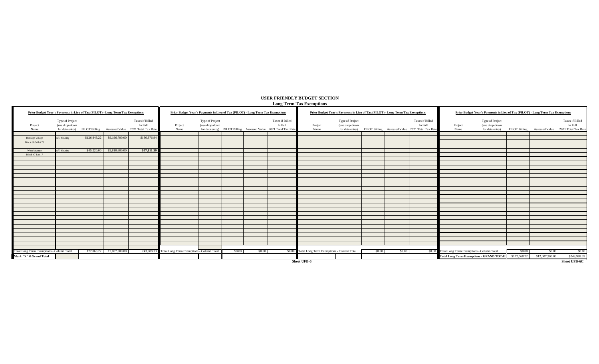| <b>Prior Budget Year's Payments in Lieu of Tax (PILOT) - Long Term Tax Exemptions</b> |                                   |             |                               |                                                                                                | Prior Budget Year's Payments in Lieu of Tax (PILOT) - Long Term Tax Exemptions |                                   |        |        |                                                                                                |                                                  | Prior Budget Year's Payments in Lieu of Tax (PILOT) - Long Term Tax Exemptions |        |        |                                                                                                |                                                       | Prior Budget Year's Payments in Lieu of Tax (PILOT) - Long Term Tax Exemptions |        |                 |                                                                                                |
|---------------------------------------------------------------------------------------|-----------------------------------|-------------|-------------------------------|------------------------------------------------------------------------------------------------|--------------------------------------------------------------------------------|-----------------------------------|--------|--------|------------------------------------------------------------------------------------------------|--------------------------------------------------|--------------------------------------------------------------------------------|--------|--------|------------------------------------------------------------------------------------------------|-------------------------------------------------------|--------------------------------------------------------------------------------|--------|-----------------|------------------------------------------------------------------------------------------------|
| Project<br>Name                                                                       | Type of Project<br>(use drop-down |             |                               | Taxes if Billed<br>In Full<br>for data entry) PILOT Billing Assessed Value 2021 Total Tax Rate | Project<br>Name                                                                | Type of Project<br>(use drop-down |        |        | Taxes if Billed<br>In Full<br>for data entry) PILOT Billing Assessed Value 2021 Total Tax Rate | Project<br>Name                                  | Type of Project<br>(use drop-down                                              |        |        | Taxes if Billed<br>In Full<br>for data entry) PILOT Billing Assessed Value 2021 Total Tax Rate | Project<br>Name                                       | Type of Project<br>(use drop-down                                              |        |                 | Taxes if Billed<br>In Full<br>for data entry) PILOT Billing Assessed Value 2021 Total Tax Rate |
|                                                                                       |                                   |             | $$126,848.22$ $$9,196,700.00$ | \$186,876.94                                                                                   |                                                                                |                                   |        |        |                                                                                                |                                                  |                                                                                |        |        |                                                                                                |                                                       |                                                                                |        |                 |                                                                                                |
| Heritage Village<br>Block 66.34 lot 73                                                | Aff. Housing                      |             |                               |                                                                                                |                                                                                |                                   |        |        |                                                                                                |                                                  |                                                                                |        |        |                                                                                                |                                                       |                                                                                |        |                 |                                                                                                |
|                                                                                       | Aff. Housing                      | \$45,220.00 | \$2,810,600.00                | \$57,111.39                                                                                    |                                                                                |                                   |        |        |                                                                                                |                                                  |                                                                                |        |        |                                                                                                |                                                       |                                                                                |        |                 |                                                                                                |
| Wood Avenue<br>Block 47 Lot 17                                                        |                                   |             |                               |                                                                                                |                                                                                |                                   |        |        |                                                                                                |                                                  |                                                                                |        |        |                                                                                                |                                                       |                                                                                |        |                 |                                                                                                |
|                                                                                       |                                   |             |                               |                                                                                                |                                                                                |                                   |        |        |                                                                                                |                                                  |                                                                                |        |        |                                                                                                |                                                       |                                                                                |        |                 |                                                                                                |
|                                                                                       |                                   |             |                               |                                                                                                |                                                                                |                                   |        |        |                                                                                                |                                                  |                                                                                |        |        |                                                                                                |                                                       |                                                                                |        |                 |                                                                                                |
|                                                                                       |                                   |             |                               |                                                                                                |                                                                                |                                   |        |        |                                                                                                |                                                  |                                                                                |        |        |                                                                                                |                                                       |                                                                                |        |                 |                                                                                                |
|                                                                                       |                                   |             |                               |                                                                                                |                                                                                |                                   |        |        |                                                                                                |                                                  |                                                                                |        |        |                                                                                                |                                                       |                                                                                |        |                 |                                                                                                |
|                                                                                       |                                   |             |                               |                                                                                                |                                                                                |                                   |        |        |                                                                                                |                                                  |                                                                                |        |        |                                                                                                |                                                       |                                                                                |        |                 |                                                                                                |
|                                                                                       |                                   |             |                               |                                                                                                |                                                                                |                                   |        |        |                                                                                                |                                                  |                                                                                |        |        |                                                                                                |                                                       |                                                                                |        |                 |                                                                                                |
|                                                                                       |                                   |             |                               |                                                                                                |                                                                                |                                   |        |        |                                                                                                |                                                  |                                                                                |        |        |                                                                                                |                                                       |                                                                                |        |                 |                                                                                                |
|                                                                                       |                                   |             |                               |                                                                                                |                                                                                |                                   |        |        |                                                                                                |                                                  |                                                                                |        |        |                                                                                                |                                                       |                                                                                |        |                 |                                                                                                |
|                                                                                       |                                   |             |                               |                                                                                                |                                                                                |                                   |        |        |                                                                                                |                                                  |                                                                                |        |        |                                                                                                |                                                       |                                                                                |        |                 |                                                                                                |
|                                                                                       |                                   |             |                               |                                                                                                |                                                                                |                                   |        |        |                                                                                                |                                                  |                                                                                |        |        |                                                                                                |                                                       |                                                                                |        |                 |                                                                                                |
|                                                                                       |                                   |             |                               |                                                                                                |                                                                                |                                   |        |        |                                                                                                |                                                  |                                                                                |        |        |                                                                                                |                                                       |                                                                                |        |                 |                                                                                                |
|                                                                                       |                                   |             |                               |                                                                                                |                                                                                |                                   |        |        |                                                                                                |                                                  |                                                                                |        |        |                                                                                                |                                                       |                                                                                |        |                 |                                                                                                |
|                                                                                       |                                   |             |                               |                                                                                                |                                                                                |                                   |        |        |                                                                                                |                                                  |                                                                                |        |        |                                                                                                |                                                       |                                                                                |        |                 |                                                                                                |
|                                                                                       |                                   |             |                               |                                                                                                |                                                                                |                                   |        |        |                                                                                                |                                                  |                                                                                |        |        |                                                                                                |                                                       |                                                                                |        |                 |                                                                                                |
|                                                                                       |                                   |             |                               |                                                                                                |                                                                                |                                   |        |        |                                                                                                |                                                  |                                                                                |        |        |                                                                                                |                                                       |                                                                                |        |                 |                                                                                                |
| Total Long Term Exemptions - Column Total                                             |                                   |             | 172,068.22 12,007,300.00      |                                                                                                | 243,988.33 Total Long Term Exemptions - Column Total                           |                                   | \$0.00 | \$0.00 |                                                                                                | \$0.00 Total Long Term Exemptions - Column Total |                                                                                | \$0.00 | \$0.00 |                                                                                                | \$0.00 Total Long Term Exemptions - Column Total      |                                                                                | \$0.00 | \$0.00          | \$0.00                                                                                         |
| Mark "X" if Grand Total                                                               |                                   |             |                               |                                                                                                |                                                                                |                                   |        |        |                                                                                                |                                                  |                                                                                |        |        |                                                                                                | Total Long Term Exemptions - GRAND TOTAL \$172,068.22 |                                                                                |        | \$12,007,300.00 | \$243,988.33                                                                                   |
|                                                                                       |                                   |             |                               |                                                                                                |                                                                                |                                   |        |        |                                                                                                | <b>Sheet UFB-6</b>                               |                                                                                |        |        |                                                                                                |                                                       |                                                                                |        |                 | <b>Sheet UFB-6C</b>                                                                            |



## **USER FRIENDLY BUDGET SECTION**

## **Long Term Tax Exemptions**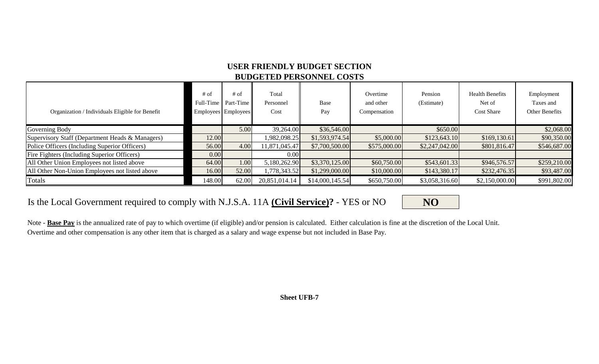## **USER FRIENDLY BUDGET SECTION BUDGETED PERSONNEL COSTS**

| Organization / Individuals Eligible for Benefit | $#$ of<br>Full-Time | $#$ of<br>Part-Time<br>Employees Employees | Total<br>Personnel<br>Cost | Base<br>Pay     | Overtime<br>and other<br>Compensation | Pension<br>(Estimate) | <b>Health Benefits</b><br>Net of<br><b>Cost Share</b> | Employment<br>Taxes and<br>Other Benefits |
|-------------------------------------------------|---------------------|--------------------------------------------|----------------------------|-----------------|---------------------------------------|-----------------------|-------------------------------------------------------|-------------------------------------------|
| Governing Body                                  |                     | 5.00                                       | 39,264.00                  | \$36,546.00     |                                       | \$650.00              |                                                       | \$2,068.00                                |
| Supervisory Staff (Department Heads & Managers) | 12.00               |                                            | 1,982,098.25               | \$1,593,974.54  | \$5,000.00                            | \$123,643.10          | \$169,130.61                                          | \$90,350.00                               |
| Police Officers (Including Superior Officers)   | 56.00               | 4.00                                       | 11,871,045.47              | \$7,700,500.00  | \$575,000.00                          | \$2,247,042.00        | \$801,816.47                                          | \$546,687.00                              |
| Fire Fighters (Including Superior Officers)     | 0.00                |                                            | 0.00                       |                 |                                       |                       |                                                       |                                           |
| All Other Union Employees not listed above      | 64.00               | 1.00                                       | 5,180,262.90               | \$3,370,125.00  | \$60,750.00                           | \$543,601.33          | \$946,576.57                                          | \$259,210.00                              |
| All Other Non-Union Employees not listed above  | 16.00               | 52.00                                      | 1,778,343.52               | \$1,299,000.00  | \$10,000.00                           | \$143,380.17          | \$232,476.35                                          | \$93,487.00                               |
| Totals                                          | 148.00              | 62.00                                      | 20,851,014.14              | \$14,000,145.54 | \$650,750.00                          | \$3,058,316.60        | \$2,150,000.00                                        | \$991,802.00                              |

## Is the Local Government required to comply with N.J.S.A. 11A **(Civil Service)?** - YES or NO **NO**

Note - **Base Pay** is the annualized rate of pay to which overtime (if eligible) and/or pension is calculated. Either calculation is fine at the discretion of the Local Unit. Overtime and other compensation is any other item that is charged as a salary and wage expense but not included in Base Pay.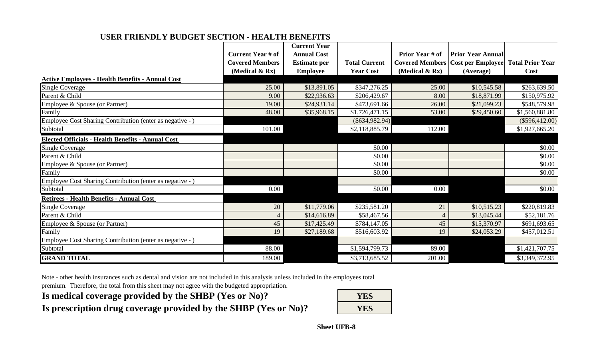#### **USER FRIENDLY BUDGET SECTION - HEALTH BENEFITS**

|                                                           |                          | <b>Current Year</b> |                      |                   |                                            |                         |
|-----------------------------------------------------------|--------------------------|---------------------|----------------------|-------------------|--------------------------------------------|-------------------------|
|                                                           | <b>Current Year # of</b> | <b>Annual Cost</b>  |                      | Prior Year # of   | <b>Prior Year Annual</b>                   |                         |
|                                                           | <b>Covered Members</b>   | <b>Estimate per</b> | <b>Total Current</b> |                   | <b>Covered Members   Cost per Employee</b> | <b>Total Prior Year</b> |
|                                                           | (Medical $\&$ Rx)        | <b>Employee</b>     | <b>Year Cost</b>     | (Medical $& Rx$ ) | (Average)                                  | Cost                    |
| <b>Active Employees - Health Benefits - Annual Cost</b>   |                          |                     |                      |                   |                                            |                         |
| <b>Single Coverage</b>                                    | 25.00                    | \$13,891.05         | \$347,276.25         | 25.00             | \$10,545.58                                | \$263,639.50            |
| Parent & Child                                            | 9.00                     | \$22,936.63         | \$206,429.67         | 8.00              | \$18,871.99                                | \$150,975.92            |
| Employee & Spouse (or Partner)                            | 19.00                    | \$24,931.14         | \$473,691.66         | 26.00             | \$21,099.23                                | \$548,579.98            |
| Family                                                    | 48.00                    | \$35,968.15         | \$1,726,471.15       | 53.00             | \$29,450.60                                | \$1,560,881.80          |
| Employee Cost Sharing Contribution (enter as negative - ) |                          |                     | $(\$634,982.94)$     |                   |                                            | $(\$596,412.00)$        |
| Subtotal                                                  | 101.00                   |                     | \$2,118,885.79       | 112.00            |                                            | \$1,927,665.20          |
| <b>Elected Officials - Health Benefits - Annual Cost</b>  |                          |                     |                      |                   |                                            |                         |
| <b>Single Coverage</b>                                    |                          |                     | \$0.00               |                   |                                            | \$0.00                  |
| Parent & Child                                            |                          |                     | \$0.00               |                   |                                            | \$0.00                  |
| Employee & Spouse (or Partner)                            |                          |                     | \$0.00               |                   |                                            | \$0.00                  |
| Family                                                    |                          |                     | \$0.00               |                   |                                            | \$0.00                  |
| Employee Cost Sharing Contribution (enter as negative - ) |                          |                     |                      |                   |                                            |                         |
| Subtotal                                                  | 0.00                     |                     | \$0.00               | 0.00              |                                            | \$0.00                  |
| <b>Retirees - Health Benefits - Annual Cost</b>           |                          |                     |                      |                   |                                            |                         |
| <b>Single Coverage</b>                                    | 20                       | \$11,779.06         | \$235,581.20         | 21                | \$10,515.23                                | \$220,819.83            |
| Parent & Child                                            | $\overline{4}$           | \$14,616.89         | \$58,467.56          | 4                 | \$13,045.44                                | \$52,181.76             |
| Employee & Spouse (or Partner)                            | 45                       | \$17,425.49         | \$784,147.05         | 45                | \$15,370.97                                | \$691,693.65            |
| Family                                                    | 19                       | \$27,189.68         | \$516,603.92         | 19                | \$24,053.29                                | \$457,012.51            |
| Employee Cost Sharing Contribution (enter as negative - ) |                          |                     |                      |                   |                                            |                         |
| Subtotal                                                  | 88.00                    |                     | \$1,594,799.73       | 89.00             |                                            | \$1,421,707.75          |
| <b>GRAND TOTAL</b>                                        | 189.00                   |                     | \$3,713,685.52       | 201.00            |                                            | \$3,349,372.95          |

Note - other health insurances such as dental and vision are not included in this analysis unless included in the employees total

premium. Therefore, the total from this sheet may not agree with the budgeted appropriation.

Is medical coverage provided by the SHBP (Yes or No)? Is prescription drug coverage provided by the SHBP (Yes or No)?

| YES |
|-----|
| YES |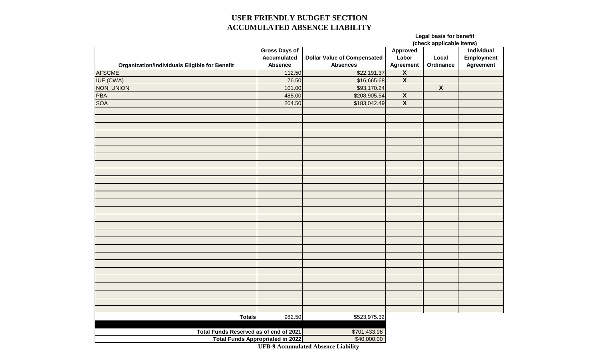### **USER FRIENDLY BUDGET SECTION ACCUMULATED ABSENCE LIABILITY**

## **Legal basis for benefit**

| <u>(check annlicable items</u> |  |  |
|--------------------------------|--|--|

|                                                      |                                         |                                    | (check applicable items) |                         |            |  |
|------------------------------------------------------|-----------------------------------------|------------------------------------|--------------------------|-------------------------|------------|--|
|                                                      | <b>Gross Days of</b>                    |                                    | Approved                 | Individual              |            |  |
|                                                      | <b>Accumulated</b>                      | <b>Dollar Value of Compensated</b> | Labor                    | Local                   | Employment |  |
| <b>Organization/Individuals Eligible for Benefit</b> | <b>Absence</b>                          | <b>Absences</b>                    | <b>Agreement</b>         | Ordinance               | Agreement  |  |
| <b>AFSCME</b>                                        | 112.50                                  | \$22,191.37                        | $\overline{\mathbf{X}}$  |                         |            |  |
| <b>IUE (CWA)</b>                                     | 76.50                                   | \$16,665.68                        | $\overline{\mathbf{X}}$  |                         |            |  |
| NON_UNION                                            | 101.00                                  | \$93,170.24                        |                          | $\overline{\mathbf{X}}$ |            |  |
| <b>PBA</b>                                           | 488.00                                  | \$208,905.54                       | $\overline{\mathbf{X}}$  |                         |            |  |
| <b>SOA</b>                                           | 204.50                                  | \$183,042.49                       | $\overline{\mathbf{X}}$  |                         |            |  |
|                                                      |                                         |                                    |                          |                         |            |  |
|                                                      |                                         |                                    |                          |                         |            |  |
|                                                      |                                         |                                    |                          |                         |            |  |
|                                                      |                                         |                                    |                          |                         |            |  |
|                                                      |                                         |                                    |                          |                         |            |  |
|                                                      |                                         |                                    |                          |                         |            |  |
|                                                      |                                         |                                    |                          |                         |            |  |
|                                                      |                                         |                                    |                          |                         |            |  |
|                                                      |                                         |                                    |                          |                         |            |  |
|                                                      |                                         |                                    |                          |                         |            |  |
|                                                      |                                         |                                    |                          |                         |            |  |
|                                                      |                                         |                                    |                          |                         |            |  |
|                                                      |                                         |                                    |                          |                         |            |  |
|                                                      |                                         |                                    |                          |                         |            |  |
|                                                      |                                         |                                    |                          |                         |            |  |
|                                                      |                                         |                                    |                          |                         |            |  |
|                                                      |                                         |                                    |                          |                         |            |  |
|                                                      |                                         |                                    |                          |                         |            |  |
|                                                      |                                         |                                    |                          |                         |            |  |
|                                                      |                                         |                                    |                          |                         |            |  |
|                                                      |                                         |                                    |                          |                         |            |  |
|                                                      |                                         |                                    |                          |                         |            |  |
|                                                      |                                         |                                    |                          |                         |            |  |
|                                                      |                                         |                                    |                          |                         |            |  |
|                                                      |                                         |                                    |                          |                         |            |  |
|                                                      |                                         |                                    |                          |                         |            |  |
|                                                      |                                         |                                    |                          |                         |            |  |
| <b>Totals</b>                                        | 982.50                                  | \$523,975.32                       |                          |                         |            |  |
|                                                      |                                         |                                    |                          |                         |            |  |
| Total Funds Reserved as of end of 2021               | \$701,433.98                            |                                    |                          |                         |            |  |
|                                                      | <b>Total Funds Appropriated in 2022</b> | \$40,000.00                        |                          |                         |            |  |

**UFB-9 Accumulated Absence Liability**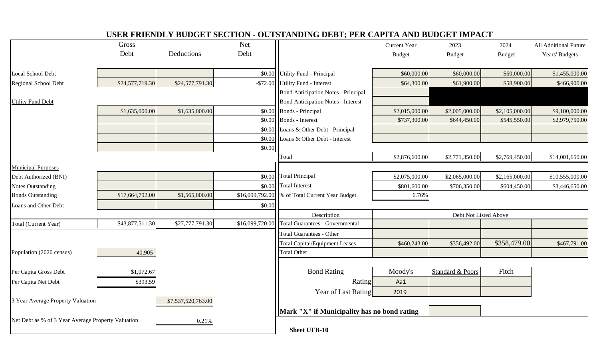|                                                    | Gross           |                    | <b>Net</b>      |                                             | Current Year          | 2023             | 2024           | All Additional Future |
|----------------------------------------------------|-----------------|--------------------|-----------------|---------------------------------------------|-----------------------|------------------|----------------|-----------------------|
|                                                    | Debt            | Deductions         | Debt            |                                             | <b>Budget</b>         | <b>Budget</b>    | <b>Budget</b>  | Years' Budgets        |
|                                                    |                 |                    |                 |                                             |                       |                  |                |                       |
| Local School Debt                                  |                 |                    | \$0.00          | Utility Fund - Principal                    | \$60,000.00           | \$60,000.00      | \$60,000.00    | \$1,455,000.00        |
| Regional School Debt                               | \$24,577,719.30 | \$24,577,791.30    | $-$72.00$       | Utility Fund - Interest                     | \$64,300.00           | \$61,900.00      | \$58,900.00    | \$466,900.00          |
|                                                    |                 |                    |                 | <b>Bond Anticipation Notes - Principal</b>  |                       |                  |                |                       |
| <b>Utility Fund Debt</b>                           |                 |                    |                 | <b>Bond Anticipation Notes - Interest</b>   |                       |                  |                |                       |
|                                                    | \$1,635,000.00  | \$1,635,000.00     | \$0.00          | <b>Bonds</b> - Principal                    | \$2,015,000.00        | \$2,005,000.00   | \$2,105,000.00 | \$9,100,000.00        |
|                                                    |                 |                    | \$0.00          | Bonds - Interest                            | \$737,300.00          | \$644,450.00     | \$545,550.00   | \$2,979,750.00        |
|                                                    |                 |                    | \$0.00          | Loans & Other Debt - Principal              |                       |                  |                |                       |
|                                                    |                 |                    | \$0.00          | Loans & Other Debt - Interest               |                       |                  |                |                       |
|                                                    |                 |                    | \$0.00          |                                             |                       |                  |                |                       |
|                                                    |                 |                    |                 | Total                                       | \$2,876,600.00        | \$2,771,350.00   | \$2,769,450.00 | \$14,001,650.00       |
| <b>Municipal Purposes</b>                          |                 |                    |                 |                                             |                       |                  |                |                       |
| Debt Authorized (BNI)                              |                 |                    | \$0.00          | <b>Total Principal</b>                      | \$2,075,000.00        | \$2,065,000.00   | \$2,165,000.00 | \$10,555,000.00       |
| <b>Notes Outstanding</b>                           |                 |                    | \$0.00          | <b>Total Interest</b>                       | \$801,600.00          | \$706,350.00     | \$604,450.00   | \$3,446,650.00        |
| <b>Bonds Outstanding</b>                           | \$17,664,792.00 | \$1,565,000.00     | \$16,099,792.00 | % of Total Current Year Budget              | 6.76%                 |                  |                |                       |
| Loans and Other Debt                               |                 |                    | \$0.00          |                                             |                       |                  |                |                       |
|                                                    |                 |                    |                 | Description                                 | Debt Not Listed Above |                  |                |                       |
| Total (Current Year)                               | \$43,877,511.30 | \$27,777,791.30    | \$16,099,720.00 | <b>Total Guarantees - Governmental</b>      |                       |                  |                |                       |
|                                                    |                 |                    |                 | <b>Total Guarantees - Other</b>             |                       |                  |                |                       |
|                                                    |                 |                    |                 | <b>Total Capital/Equipment Leases</b>       | \$460,243.00          | \$356,492.00     | \$358,479.00   | \$467,791.00          |
| Population (2020 census)                           | 40,905          |                    |                 | <b>Total Other</b>                          |                       |                  |                |                       |
|                                                    |                 |                    |                 |                                             |                       |                  |                |                       |
| Per Capita Gross Debt                              | \$1,072.67      |                    |                 | <b>Bond Rating</b>                          | Moody's               | Standard & Poors | Fitch          |                       |
| Per Capita Net Debt                                | \$393.59        |                    |                 | Rating                                      | Aa1                   |                  |                |                       |
|                                                    |                 |                    |                 | Year of Last Rating                         | 2019                  |                  |                |                       |
| 3 Year Average Property Valuation                  |                 | \$7,537,520,763.00 |                 |                                             |                       |                  |                |                       |
|                                                    |                 |                    |                 | Mark "X" if Municipality has no bond rating |                       |                  |                |                       |
| Net Debt as % of 3 Year Average Property Valuation |                 | 0.21%              |                 |                                             |                       |                  |                |                       |
|                                                    |                 |                    |                 | <b>Sheet UFB-10</b>                         |                       |                  |                |                       |

## **USER FRIENDLY BUDGET SECTION - OUTSTANDING DEBT; PER CAPITA AND BUDGET IMPACT**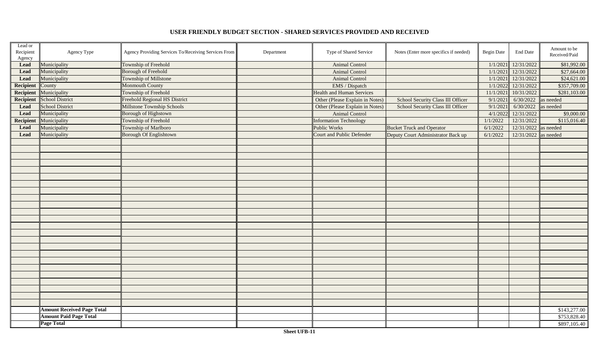| Lead or<br>Recipient<br>Agency | Agency Type                       | Agency Providing Services To/Receiving Services From | Department | Type of Shared Service           | Notes (Enter more specifics if needed) | <b>Begin Date</b> | <b>End Date</b>        | Amount to be<br>Received/Paid |
|--------------------------------|-----------------------------------|------------------------------------------------------|------------|----------------------------------|----------------------------------------|-------------------|------------------------|-------------------------------|
| <b>Lead</b>                    | Municipality                      | Township of Freehold                                 |            | <b>Animal Control</b>            |                                        | 1/1/2021          | 12/31/2022             | \$81,992.00                   |
| <b>Lead</b>                    | Municipality                      | Borough of Freehold                                  |            | <b>Animal Control</b>            |                                        | 1/1/2021          | 12/31/2022             | \$27,664.00                   |
| Lead                           | Municipality                      | Township of Millstone                                |            | <b>Animal Control</b>            |                                        | 1/1/2021          | 12/31/2022             | \$24,621.00                   |
| <b>Recipient</b>               | County                            | <b>Monmouth County</b>                               |            | EMS / Dispatch                   |                                        | 1/1/2022          | 12/31/2022             | \$357,709.00                  |
| Recipient                      | Municipality                      | Township of Freehold                                 |            | <b>Health and Human Services</b> |                                        | 11/1/2021         | 10/31/2022             | \$281,103.00                  |
| Recipient                      | School District                   | <b>Freehold Regional HS District</b>                 |            | Other (Please Explain in Notes)  | School Security Class III Officer      | 9/1/2021          | 6/30/2022              | as needed                     |
| <b>Lead</b>                    | <b>School District</b>            | <b>Millstone Township Schools</b>                    |            | Other (Please Explain in Notes)  | School Security Class III Officer      | 9/1/2021          | 6/30/2022              | as needed                     |
| Lead                           | Municipality                      | Borough of Highstown                                 |            | <b>Animal Control</b>            |                                        | 4/1/2022          | 12/31/2022             | \$9,000.00                    |
| <b>Recipient</b>               | Municipality                      | Township of Freehold                                 |            | <b>Information Technology</b>    |                                        | 1/1/2022          | 12/31/2022             | \$115,016.40                  |
| <b>Lead</b>                    | Municipality                      | Township of Marlboro                                 |            | <b>Public Works</b>              | <b>Bucket Truck and Operator</b>       | 6/1/2022          | $12/31/2022$ as needed |                               |
| <b>Lead</b>                    | Municipality                      | Borough Of Englishtown                               |            | <b>Court and Public Defender</b> | Deputy Court Administrator Back up     | 6/1/2022          | $12/31/2022$ as needed |                               |
|                                |                                   |                                                      |            |                                  |                                        |                   |                        |                               |
|                                |                                   |                                                      |            |                                  |                                        |                   |                        |                               |
|                                |                                   |                                                      |            |                                  |                                        |                   |                        |                               |
|                                |                                   |                                                      |            |                                  |                                        |                   |                        |                               |
|                                |                                   |                                                      |            |                                  |                                        |                   |                        |                               |
|                                |                                   |                                                      |            |                                  |                                        |                   |                        |                               |
|                                |                                   |                                                      |            |                                  |                                        |                   |                        |                               |
|                                |                                   |                                                      |            |                                  |                                        |                   |                        |                               |
|                                |                                   |                                                      |            |                                  |                                        |                   |                        |                               |
|                                |                                   |                                                      |            |                                  |                                        |                   |                        |                               |
|                                |                                   |                                                      |            |                                  |                                        |                   |                        |                               |
|                                |                                   |                                                      |            |                                  |                                        |                   |                        |                               |
|                                |                                   |                                                      |            |                                  |                                        |                   |                        |                               |
|                                |                                   |                                                      |            |                                  |                                        |                   |                        |                               |
|                                |                                   |                                                      |            |                                  |                                        |                   |                        |                               |
|                                |                                   |                                                      |            |                                  |                                        |                   |                        |                               |
|                                |                                   |                                                      |            |                                  |                                        |                   |                        |                               |
|                                |                                   |                                                      |            |                                  |                                        |                   |                        |                               |
|                                |                                   |                                                      |            |                                  |                                        |                   |                        |                               |
|                                |                                   |                                                      |            |                                  |                                        |                   |                        |                               |
|                                |                                   |                                                      |            |                                  |                                        |                   |                        |                               |
|                                |                                   |                                                      |            |                                  |                                        |                   |                        |                               |
|                                |                                   |                                                      |            |                                  |                                        |                   |                        |                               |
|                                |                                   |                                                      |            |                                  |                                        |                   |                        |                               |
|                                | <b>Amount Received Page Total</b> |                                                      |            |                                  |                                        |                   |                        | \$143,277.00                  |
|                                | <b>Amount Paid Page Total</b>     |                                                      |            |                                  |                                        |                   |                        | \$753,828.40                  |
|                                | <b>Page Total</b>                 |                                                      |            |                                  |                                        |                   |                        | \$897,105.40                  |

### **USER FRIENDLY BUDGET SECTION - SHARED SERVICES PROVIDED AND RECEIVED**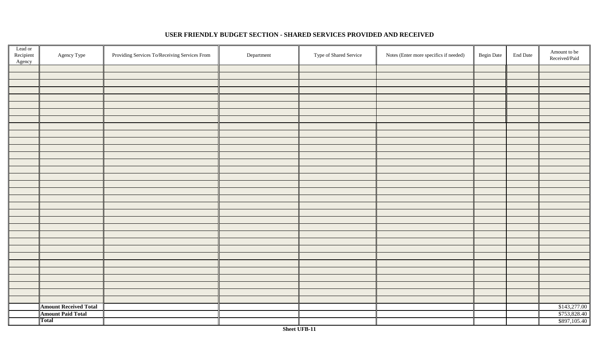| Lead or<br>Recipient<br>Agency | Agency Type                  | Providing Services To/Receiving Services From | Department | Type of Shared Service | Notes (Enter more specifics if needed) | <b>Begin Date</b> | <b>End Date</b> | Amount to be<br>Received/Paid |
|--------------------------------|------------------------------|-----------------------------------------------|------------|------------------------|----------------------------------------|-------------------|-----------------|-------------------------------|
|                                |                              |                                               |            |                        |                                        |                   |                 |                               |
|                                |                              |                                               |            |                        |                                        |                   |                 |                               |
|                                |                              |                                               |            |                        |                                        |                   |                 |                               |
|                                |                              |                                               |            |                        |                                        |                   |                 |                               |
|                                |                              |                                               |            |                        |                                        |                   |                 |                               |
|                                |                              |                                               |            |                        |                                        |                   |                 |                               |
|                                |                              |                                               |            |                        |                                        |                   |                 |                               |
|                                |                              |                                               |            |                        |                                        |                   |                 |                               |
|                                |                              |                                               |            |                        |                                        |                   |                 |                               |
|                                |                              |                                               |            |                        |                                        |                   |                 |                               |
|                                |                              |                                               |            |                        |                                        |                   |                 |                               |
|                                |                              |                                               |            |                        |                                        |                   |                 |                               |
|                                |                              |                                               |            |                        |                                        |                   |                 |                               |
|                                |                              |                                               |            |                        |                                        |                   |                 |                               |
|                                |                              |                                               |            |                        |                                        |                   |                 |                               |
|                                |                              |                                               |            |                        |                                        |                   |                 |                               |
|                                |                              |                                               |            |                        |                                        |                   |                 |                               |
|                                |                              |                                               |            |                        |                                        |                   |                 |                               |
|                                |                              |                                               |            |                        |                                        |                   |                 |                               |
|                                |                              |                                               |            |                        |                                        |                   |                 |                               |
|                                |                              |                                               |            |                        |                                        |                   |                 |                               |
|                                |                              |                                               |            |                        |                                        |                   |                 |                               |
|                                |                              |                                               |            |                        |                                        |                   |                 |                               |
|                                |                              |                                               |            |                        |                                        |                   |                 |                               |
|                                |                              |                                               |            |                        |                                        |                   |                 |                               |
|                                |                              |                                               |            |                        |                                        |                   |                 |                               |
|                                |                              |                                               |            |                        |                                        |                   |                 |                               |
|                                |                              |                                               |            |                        |                                        |                   |                 |                               |
|                                |                              |                                               |            |                        |                                        |                   |                 |                               |
|                                |                              |                                               |            |                        |                                        |                   |                 |                               |
|                                |                              |                                               |            |                        |                                        |                   |                 |                               |
|                                |                              |                                               |            |                        |                                        |                   |                 |                               |
|                                |                              |                                               |            |                        |                                        |                   |                 |                               |
|                                | <b>Amount Received Total</b> |                                               |            |                        |                                        |                   |                 | \$143,277.00                  |
|                                | <b>Amount Paid Total</b>     |                                               |            |                        |                                        |                   |                 | \$753,828.40                  |
|                                | Total                        |                                               |            |                        |                                        |                   |                 | \$897,105.40                  |

## **USER FRIENDLY BUDGET SECTION - SHARED SERVICES PROVIDED AND RECEIVED**